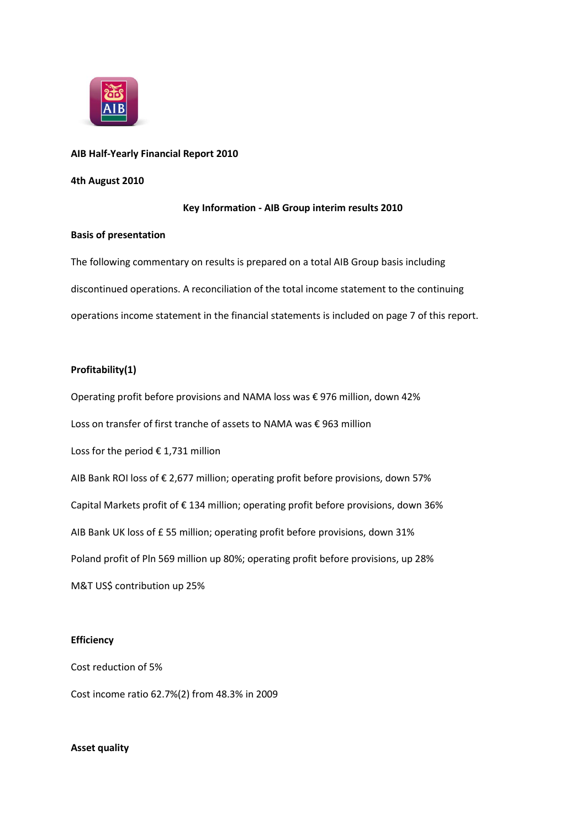

# **AIB Half-Yearly Financial Report 2010**

# **4th August 2010**

# **Key Information - AIB Group interim results 2010**

# **Basis of presentation**

The following commentary on results is prepared on a total AIB Group basis including discontinued operations. A reconciliation of the total income statement to the continuing operations income statement in the financial statements is included on page 7 of this report.

# **Profitability(1)**

Operating profit before provisions and NAMA loss was € 976 million, down 42% Loss on transfer of first tranche of assets to NAMA was € 963 million Loss for the period € 1,731 million AIB Bank ROI loss of € 2,677 million; operating profit before provisions, down 57% Capital Markets profit of € 134 million; operating profit before provisions, down 36% AIB Bank UK loss of £ 55 million; operating profit before provisions, down 31% Poland profit of Pln 569 million up 80%; operating profit before provisions, up 28% M&T US\$ contribution up 25%

#### **Efficiency**

Cost reduction of 5%

Cost income ratio 62.7%(2) from 48.3% in 2009

# **Asset quality**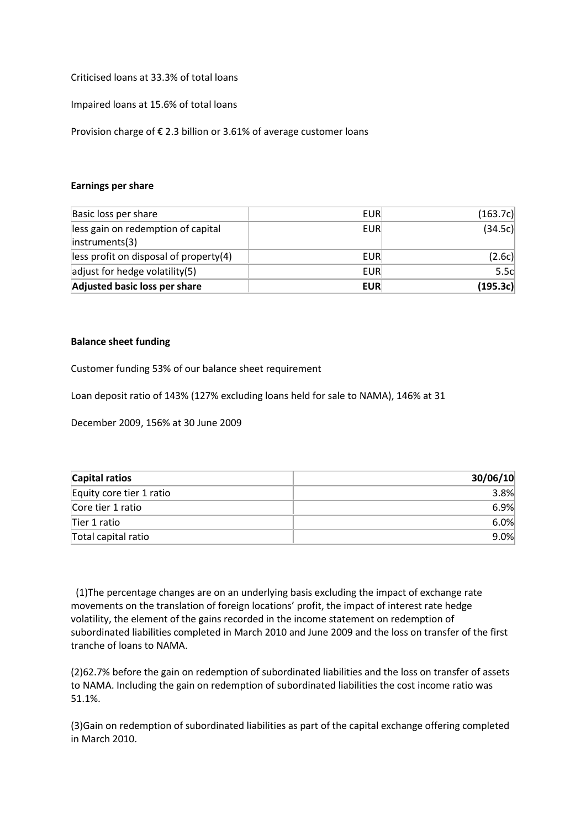Criticised loans at 33.3% of total loans

Impaired loans at 15.6% of total loans

Provision charge of € 2.3 billion or 3.61% of average customer loans

#### **Earnings per share**

| Basic loss per share                                 | <b>EUR</b> | (163.7c) |
|------------------------------------------------------|------------|----------|
| less gain on redemption of capital<br>instruments(3) | <b>EUR</b> | (34.5c)  |
| less profit on disposal of property(4)               | <b>EUR</b> | (2.6c)   |
| adjust for hedge volatility $(5)$                    | <b>EUR</b> | 5.5c     |
| Adjusted basic loss per share                        | <b>EUR</b> | (195.3c) |

# **Balance sheet funding**

Customer funding 53% of our balance sheet requirement

Loan deposit ratio of 143% (127% excluding loans held for sale to NAMA), 146% at 31

December 2009, 156% at 30 June 2009

| <b>Capital ratios</b>    | 30/06/10 |
|--------------------------|----------|
| Equity core tier 1 ratio | 3.8%     |
| Core tier 1 ratio        | 6.9%     |
| Tier 1 ratio             | 6.0%     |
| Total capital ratio      | 9.0%     |

(1)The percentage changes are on an underlying basis excluding the impact of exchange rate movements on the translation of foreign locations' profit, the impact of interest rate hedge volatility, the element of the gains recorded in the income statement on redemption of subordinated liabilities completed in March 2010 and June 2009 and the loss on transfer of the first tranche of loans to NAMA.

(2)62.7% before the gain on redemption of subordinated liabilities and the loss on transfer of assets to NAMA. Including the gain on redemption of subordinated liabilities the cost income ratio was 51.1%.

(3)Gain on redemption of subordinated liabilities as part of the capital exchange offering completed in March 2010.